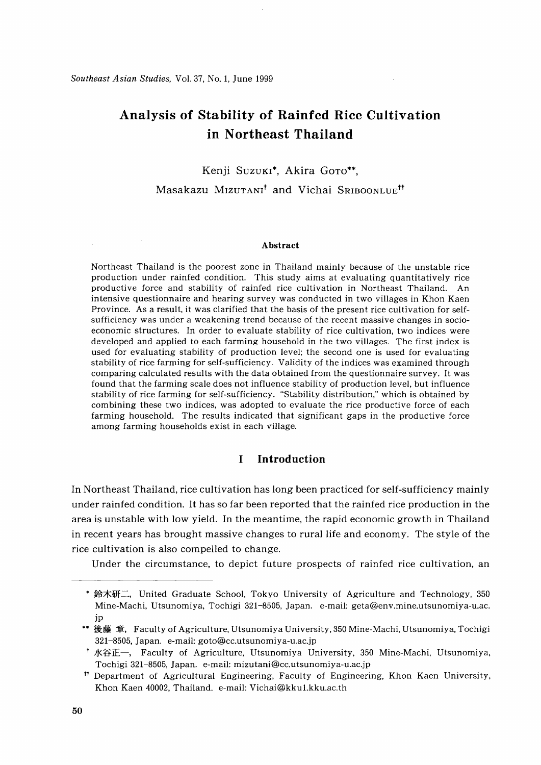# **Analysis of Stability of Rainfed Rice Cultivation in Northeast Thailand**

# Kenji Suzuki\*, Akira Goro\*\*,

# Masakazu MIZUTANI<sup>t</sup> and Vichai SRIBOONLUE<sup>tt</sup>

#### **Abstract**

Northeast Thailand is the poorest zone in Thailand mainly because of the unstable rice production under rainfed condition. This study aims at evaluating quantitatively rice productive force and stability of rainfed rice cultivation in Northeast Thailand. An intensive questionnaire and hearing survey was conducted in two villages in Khon Kaen Province. As a result, it was clarified that the basis of the present rice cultivation for selfsufficiency was under a weakening trend because of the recent massive changes in socioeconomic structures. In order to evaluate stability of rice cultivation, two indices were developed and applied to each farming household in the two villages. The first index is used for evaluating stability of production level; the second one is used for evaluating stability of rice farming for self-sufficiency. Validity of the indices was examined through comparing calculated results with the data obtained from the questionnaire survey. It was found that the farming scale does not influence stability of production level, but influence stability of rice farming for self-sufficiency. "Stability distribution," which is obtained by combining these two indices, was adopted to evaluate the rice productive force of each farming household. The results indicated that significant gaps in the productive force among farming households exist in each village.

# **I Introduction**

In Northeast Thailand, rice cultivation has long been practiced for self-sufficiency mainly under rainfed condition. It has so far been reported that the rainfed rice production in the area is unstable with low yield. In the meantime, the rapid economic growth in Thailand in recent years has brought massive changes to rural life and economy. The style of the rice cultivation is also compelled to change.

Under the circumstance, to depict future prospects of rainfed rice cultivation, an

<sup>\*</sup> 鈴木研二, United Graduate School, Tokyo University of Agriculture and Technology, 350 Mine-Machi, Utsunomiya, Tochigi 321-8505, Japan. e-mail: geta@env.mine.utsunomiya-u.ac. jp

<sup>\*\*</sup> 後藤 章, Faculty of Agriculture, Utsunomiya University, 350 Mine-Machi, Utsunomiya, Tochigi 321-8505, Japan. e-mail: goto@cc.utsunomiya-u.ac.jp

<sup>&</sup>lt;sup>†</sup> 水谷正一, Faculty of Agriculture, Utsunomiya University, 350 Mine-Machi, Utsunomiya, Tochigi 321-8505, Japan. e-mail: mizutani@cc.utsunomiya-u.ac.jp

<sup>&</sup>lt;sup>tt</sup> Department of Agricultural Engineering, Faculty of Engineering, Khon Kaen University, Khon Kaen 40002, Thailand. e-mail: Vichai@kku1.kku.ac.th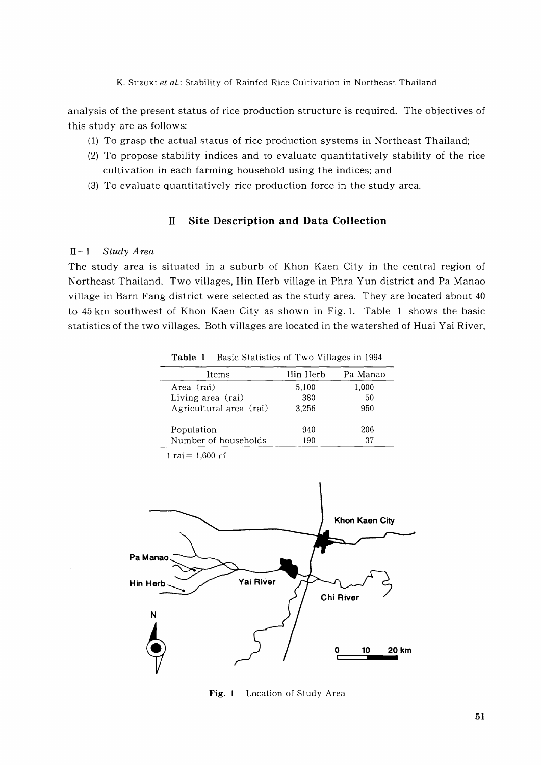analysis of the present status of rice production structure is required. The objectives of this study are as follows:

- (1) To grasp the actual status of rice production systems in Northeast Thailand;
- (2) To propose stability indices and to evaluate quantitatively stability of the rice cultivation in each farming household using the indices; and
- (3) To evaluate quantitatively rice production force in the study area.

# **II Site Description and Data Collection**

## n-1 *Study Area*

The study area is situated in a suburb of Khon Kaen City in the central region of Northeast Thailand. Two villages, Hin Herb village in Phra Yun district and Pa Manao village in Barn Fang district were selected as the study area. They are located about 40 to 45 km southwest of Khon Kaen City as shown in Fig.1. Table 1 shows the basic statistics of the two villages. Both villages are located in the watershed of Huai Yai River,

| танне т<br>Dasic Statistics of Two Vinages in 1994 |          |          |  |  |
|----------------------------------------------------|----------|----------|--|--|
| Items                                              | Hin Herb | Pa Manao |  |  |
| Area (rai)                                         | 5.100    | 1,000    |  |  |
| Living area (rai)                                  | 380      | 50       |  |  |
| Agricultural area (rai)                            | 3.256    | 950      |  |  |
| Population                                         | 940      | 206      |  |  |
| Number of households                               | 190      | 37       |  |  |

**Table 1** Basic Statistics of Two Villages in 1994

1 rai =  $1,600$  m<sup>2</sup>



**Fig. 1** Location of Study Area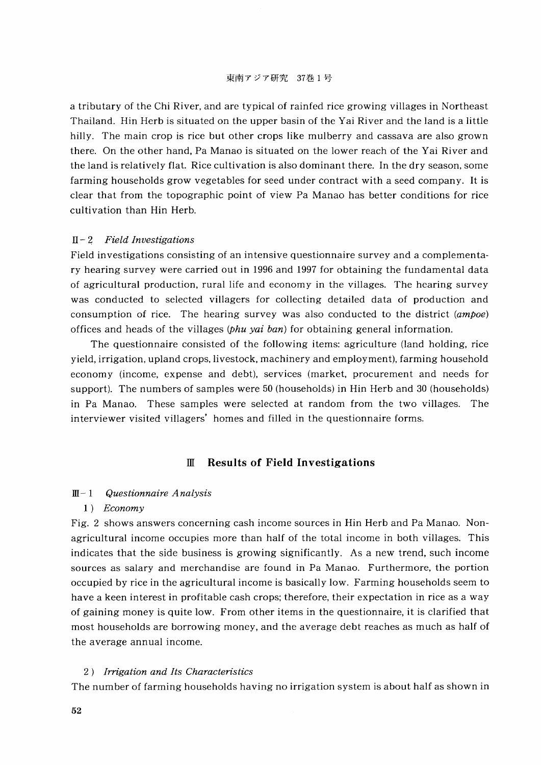a tributary of the Chi River, and are typical of rainfed rice growing villages in Northeast Thailand. Hin Herb is situated on the upper basin of the Yai River and the land is a little hilly. The main crop is rice but other crops like mulberry and cassava are also grown there. On the other hand, Pa Manao is situated on the lower reach of the Yai River and the land is relatively flat. Rice cultivation is also dominant there. In the dry season, some farming households grow vegetables for seed under contract with a seed company. It is clear that from the topographic point of view Pa Manao has better conditions for rice cultivation than Hin Herb.

#### II - 2 *Field Investigations*

Field investigations consisting of an intensive questionnaire survey and a complementary hearing survey were carried out in 1996 and 1997 for obtaining the fundamental data of agricultural production, rural life and economy in the villages. The hearing survey was conducted to selected villagers for collecting detailed data of production and consumption of rice. The hearing survey was also conducted to the district *(ampoe)* offices and heads of the villages *(Phu yai ban)* for obtaining general information.

The questionnaire consisted of the following items: agriculture (land holding, rice yield, irrigation, upland crops, livestock, machinery and employment), farming household economy (income, expense and debt), services (market, procurement and needs for support). The numbers of samples were 50 (households) in Hin Herb and 30 (households) in Pa Manao. These samples were selected at random from the two villages. The interviewer visited villagers' homes and filled in the questionnaire forms.

# ill **Results of Field Investigations**

#### ill- 1 *Questionnaire Analysis*

#### *1) Economy*

Fig. 2 shows answers concerning cash income sources in Hin Herb and Pa Manao. Nonagricultural income occupies more than half of the total income in both villages. This indicates that the side business is growing significantly. As a new trend, such income sources as salary and merchandise are found in Pa Manao. Furthermore, the portion occupied by rice in the agricultural income is basically low. Farming households seem to have a keen interest in profitable cash crops; therefore, their expectation in rice as a way of gaining money is quite low. From other items in the questionnaire, it is clarified that most households are borrowing money, and the average debt reaches as much as half of the average annual income.

### *2) Irrigation and Its Characteristics*

The number of farming households having no irrigation system is about half as shown in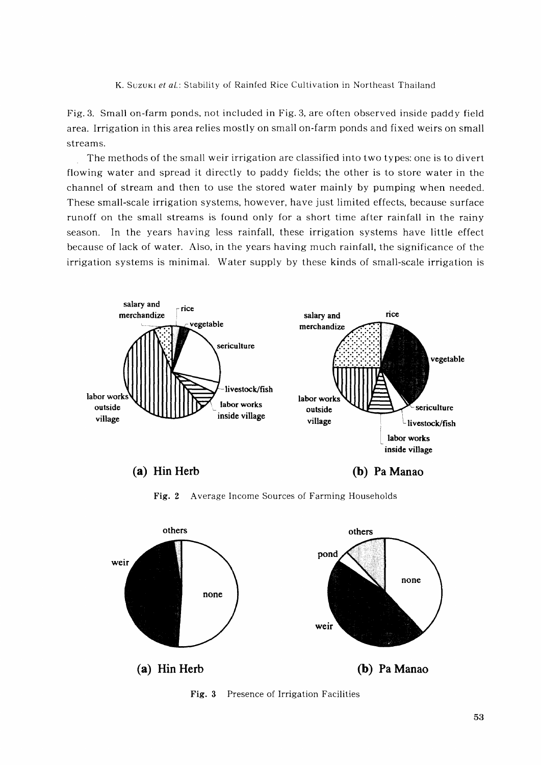K. Suzuki et al.: Stability of Rainfed Rice Cultivation in Northeast Thailand

Fig. 3. Small on-farm ponds, not included in Fig. 3, are often observed inside paddy field area. Irrigation in this area relies mostly on small on-farm ponds and fixed weirs on small streams.

The methods of the small weir irrigation are classified into two types: one is to divert flowing water and spread it directly to paddy fields; the other is to store water in the channel of stream and then to use the stored water mainly by pumping when needed. These small-scale irrigation systems, however, have just limited effects, because surface runoff on the small streams is found only for a short time after rainfall in the rainy season. In the years having less rainfall, these irrigation systems have little effect because of lack of water. Also, in the years having much rainfall, the significance of the irrigation systems is minimal. Water supply by these kinds of small-scale irrigation is



**Fig.** 2 Average Income Sources of Farming Households



**Fig. 3** Presence of Irrigation Facilities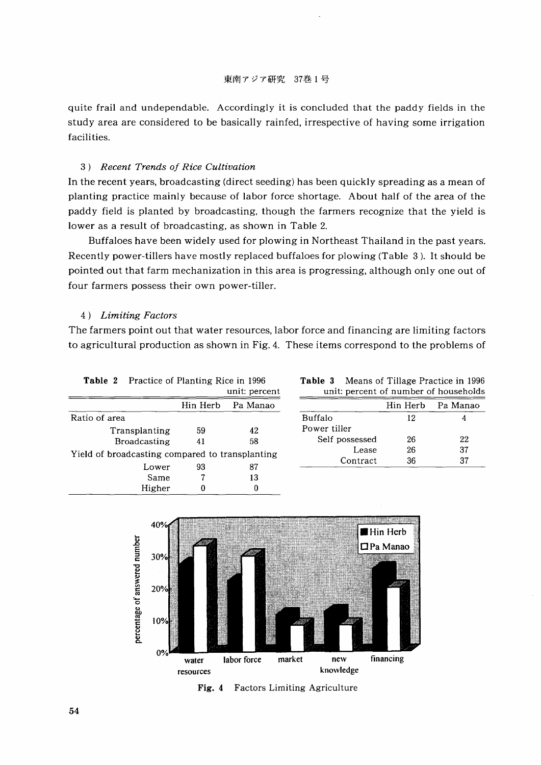quite frail and undependable. Accordingly it is concluded that the paddy fields in the study area are considered to be basically rainfed, irrespective of having some irrigation facilities.

#### *3) Recent Trends oj Rice Cultivation*

In the recent years, broadcasting (direct seeding) has been quickly spreading as a mean of planting practice mainly because of labor force shortage. About half of the area of the paddy field is planted by broadcasting, though the farmers recognize that the yield is lower as a result of broadcasting, as shown in Table 2.

Buffaloes have been widely used for plowing in Northeast Thailand in the past years. Recently power-tillers have mostly replaced buffaloes for plowing (Table 3). It should be pointed out that farm mechanization in this area is progressing, although only one out of four farmers possess their own power-tiller.

#### 4) *Limiting Factors*

The farmers point out that water resources, labor force and financing are limiting factors to agricultural production as shown in Fig. 4. These items correspond to the problems of

|               | <b>Table 2</b> Practice of Planting Rice in 1996 |    |                   |
|---------------|--------------------------------------------------|----|-------------------|
|               |                                                  |    | unit: percent     |
|               |                                                  |    | Hin Herb Pa Manao |
| Ratio of area |                                                  |    |                   |
|               | Transplanting                                    | 59 | 42                |
|               | <b>Broadcasting</b>                              | 41 | 58                |
|               | Yield of broadcasting compared to transplanting  |    |                   |
|               | Lower                                            | 93 | 87                |
|               | Same                                             |    | 13                |
|               | Higher                                           |    |                   |

| Table 3 | Means of Tillage Practice in 1996     |  |  |
|---------|---------------------------------------|--|--|
|         | unit: percent of number of households |  |  |

|    | Hin Herb     Pa Manao  |                | Hin Herb | - Pa Manao |
|----|------------------------|----------------|----------|------------|
|    |                        | Buffalo        | 12       |            |
| 59 | 42                     | Power tiller   |          |            |
| 41 | 58                     | Self possessed | 26       | 22         |
|    | pared to transplanting | Lease          | 26       | 37         |
| ດລ |                        | Contract       | 36       | 37         |



Fig. 4 Factors Limiting Agriculture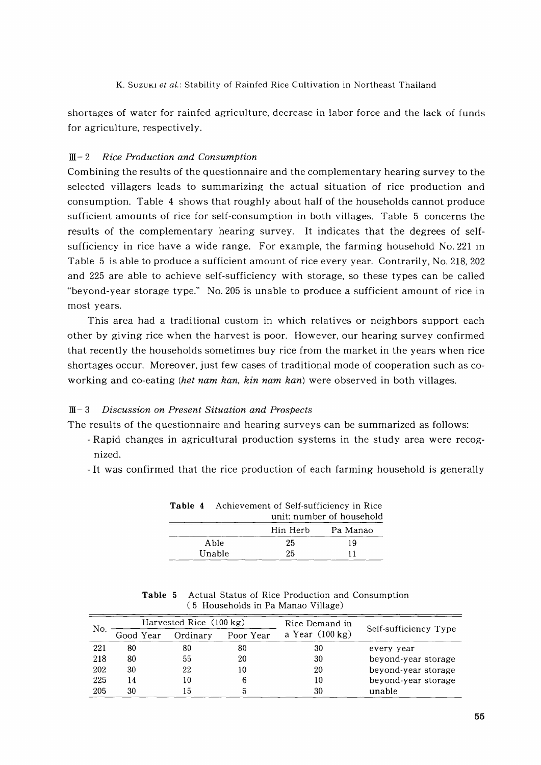shortages of water for rainfed agriculture, decrease in labor force and the lack of funds for agriculture, respectively.

# ill- 2 *Rice Production and Consumption*

Combining the results of the questionnaire and the complementary hearing survey to the selected villagers leads to summarizing the actual situation of rice production and consumption. Table 4 shows that roughly about half of the households cannot produce sufficient amounts of rice for self-consumption in both villages. Table 5 concerns the results of the complementary hearing survey. It indicates that the degrees of selfsufficiency in rice have a wide range. For example, the farming household No. 221 in Table 5 is able to produce a sufficient amount of rice every year. Contrarily, No. 218, 202 and 225 are able to achieve self-sufficiency with storage, so these types can be called "beyond-year storage type." No. 205 is unable to produce a sufficient amount of rice in most years.

This area had a traditional custom in which relatives or neighbors support each other by giving rice when the harvest is poor. However, our hearing survey confirmed that recently the households sometimes buy rice from the market in the years when rice shortages occur. Moreover, just few cases of traditional mode of cooperation such as coworking and co-eating *(het nam kan, kin nam kan)* were observed in both villages.

## ill- 3 *Discussion on Present Situation and Prospects*

The results of the questionnaire and hearing surveys can be summarized as follows:

- Rapid changes in agricultural production systems in the study area were recognized.
- It was confirmed that the rice production of each farming household is generally

|  | <b>Table 4</b> Achievement of Self-sufficiency in Rice |          |                           |  |
|--|--------------------------------------------------------|----------|---------------------------|--|
|  |                                                        |          | unit: number of household |  |
|  |                                                        | Hin Herb | - Pa Manao                |  |
|  | Able                                                   | 25       | 19                        |  |
|  | Unable                                                 | 25       | 11                        |  |

|  | <b>Table 5</b> Actual Status of Rice Production and Consumption |
|--|-----------------------------------------------------------------|
|  | (5 Households in Pa Manao Village)                              |

| No. |           | Harvested Rice (100 kg) |           | Rice Demand in            |                       |
|-----|-----------|-------------------------|-----------|---------------------------|-----------------------|
|     | Good Year | Ordinary                | Poor Year | a Year $(100 \text{ kg})$ | Self-sufficiency Type |
| 221 | 80        | 80                      | 80        | 30                        | every year            |
| 218 | 80        | 55                      | 20        | 30                        | beyond-year storage   |
| 202 | 30        | 22                      | 10        | 20                        | beyond-year storage   |
| 225 | 14        | 10                      |           | 10                        | beyond-year storage   |
| 205 | 30        | 15                      |           | 30                        | unable                |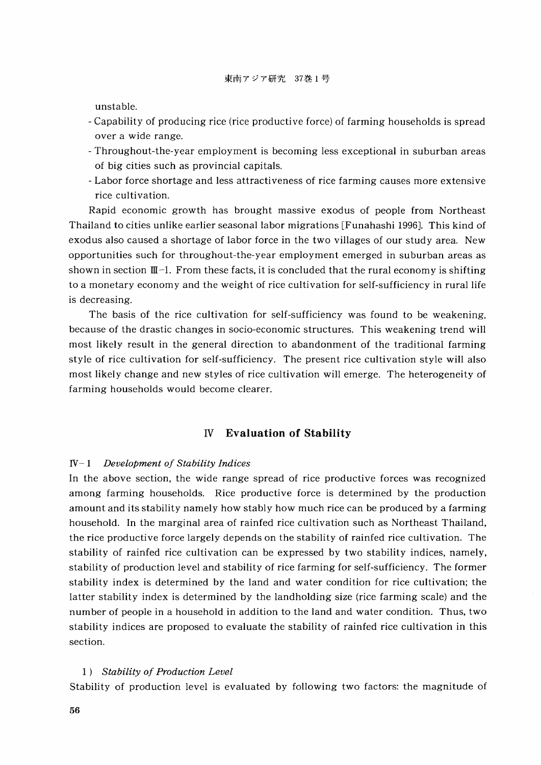unstable.

- Capability of producing rice (rice productive force) of farming households is spread over a wide range.
- Throughout-the-year employment is becoming less exceptional in suburban areas of big cities such as provincial capitals.
- Labor force shortage and less attractiveness of rice farming causes more extensive rice cultivation.

Rapid economic growth has brought massive exodus of people from Northeast Thailand to cities unlike earlier seasonal labor migrations [Funahashi 1996]. This kind of exodus also caused a shortage of labor force in the two villages of our study area. New opportunities such for throughout-the-year employment emerged in suburban areas as shown in section  $\mathbb{I}\mathbb{I}^{-1}$ . From these facts, it is concluded that the rural economy is shifting to a monetary economy and the weight of rice cultivation for self-sufficiency in rural life is decreasing.

The basis of the rice cultivation for self-sufficiency was found to be weakening, because of the drastic changes in socio-economic structures. This weakening trend will most likely result in the general direction to abandonment of the traditional farming style of rice cultivation for self-sufficiency. The present rice cultivation style will also most likely change and new styles of rice cultivation will emerge. The heterogeneity of farming households would become clearer.

## IV **Evaluation of Stability**

#### IV- 1 *Development of Stability Indices*

In the above section, the wide range spread of rice productive forces was recognized among farming households. Rice productive force is determined by the production amount and its stability namely how stably how much rice can be produced by a farming household. In the marginal area of rainfed rice cultivation such as Northeast Thailand, the rice productive force largely depends on the stability of rainfed rice cultivation. The stability of rainfed rice cultivation can be expressed by two stability indices, namely, stability of production level and stability of rice farming for self-sufficiency. The former stability index is determined by the land and water condition for rice cultivation; the latter stability index is determined by the landholding size (rice farming scale) and the number of people in a household in addition to the land and water condition. Thus, two stability indices are proposed to evaluate the stability of rainfed rice cultivation in this section.

#### *1) Stability of Production Level*

Stability of production level is evaluated by following two factors: the magnitude of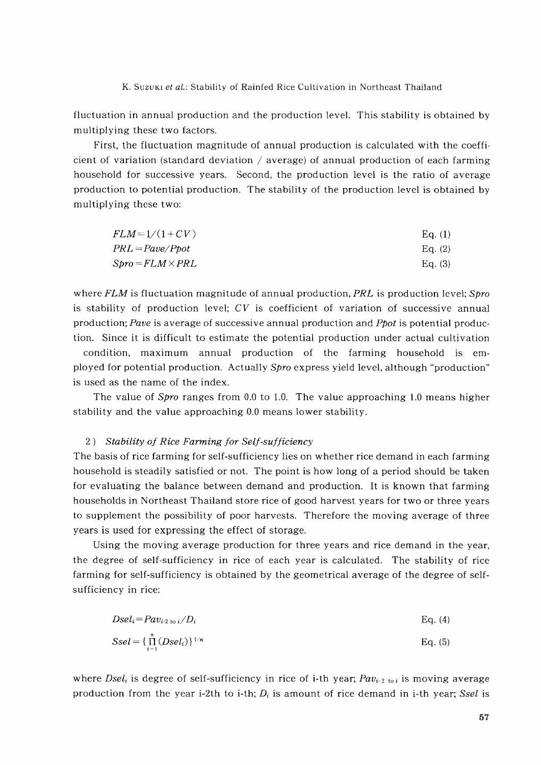fluctuation in annual production and the production level. This stability is obtained by multiplying these two factors.

First, the fluctuation magnitude of annual production is calculated with the coefficient of variation (standard deviation / average) of annual production of each farming household for successive years. Second, the production level is the ratio of average production to potential production. The stability of the production level is obtained by multiplying these two:

| $FLM = 1/(1+CV)$                                                     | Eq. (1)   |
|----------------------------------------------------------------------|-----------|
| $PRL = \textit{Pave}/\textit{Ppot}$                                  | Eq. $(2)$ |
| $\textit{Spro} \texttt{=} \textit{FLM} \texttt{\times} \textit{PRL}$ | Eq. $(3)$ |

where *FLM* is fluctuation magnitude of annual production, *PRL* is production level; *Spro* is stability of production level; *CV* is coefficient of variation of successive annual production; *Pave* is average of successive annual production and *ppot* is potential production. Since it is difficult to estimate the potential production under actual cultivation

condition, maximum annual production of the farming household is employed for potential production. Actually *Spro* express yield level, although "production" is used as the name of the index.

The value of *Spro* ranges from 0.0 to 1.0. The value approaching 1.0 means higher stability and the value approaching 0.0 means lower stability.

### 2) *Stability of Rice Farming for Self-sufficiency*

The basis of rice farming for self-sufficiency lies on whether rice demand in each farming household is steadily satisfied or not. The point is how long of a period should be taken for evaluating the balance between demand and production. It is known that farming households in Northeast Thailand store rice of good harvest years for two or three years to supplement the possibility of poor harvests. Therefore the moving average of three years is used for expressing the effect of storage.

Using the moving average production for three years and rice demand in the year, the degree of self-sufficiency in rice of each year is calculated. The stability of rice farming for self-sufficiency is obtained by the geometrical average of the degree of selfsufficiency in rice:

$$
Dseli = Pavi2 to i/Di
$$
 Eq. (4)  
\n
$$
Ssel = {\prod_{i=1}^{n} (Dseli)}^{1/n}
$$
 Eq. (5)

where *Dsel<sub>i</sub>* is degree of self-sufficiency in rice of i-th year; *Pav<sub>i-2 to i* is moving average</sub> production from the year i-2th to i-th; *Di* is amount of rice demand in i-th year; *Ssel* is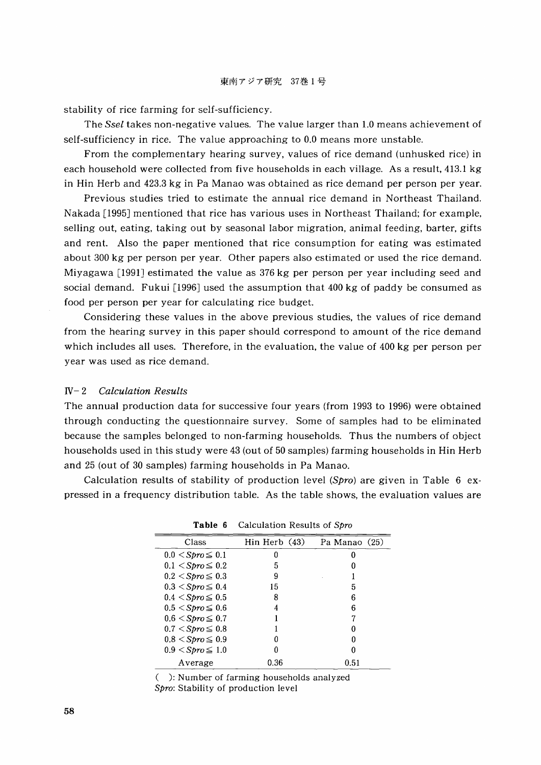stability of rice farming for self-sufficiency.

The *Ssel* takes non-negative values. The value larger than 1.0 means achievement of self-sufficiency in rice. The value approaching to 0.0 means more unstable.

From the complementary hearing survey, values of rice demand (unhusked rice) in each household were collected from five households in each village. As a result, 413.1 kg in Hin Herb and 423.3 kg in Pa Manao was obtained as rice demand per person per year.

Previous studies tried to estimate the annual rice demand in Northeast Thailand. Nakada [1995] mentioned that rice has various uses in Northeast Thailand; for example, selling out, eating, taking out by seasonal labor migration, animal feeding, barter, gifts and rent. Also the paper mentioned that rice consumption for eating was estimated about 300 kg per person per year. Other papers also estimated or used the rice demand. Miyagawa [1991J estimated the value as 376 kg per person per year including seed and social demand. Fukui [1996] used the assumption that  $400 \text{ kg}$  of paddy be consumed as food per person per year for calculating rice budget.

Considering these values in the above previous studies, the values of rice demand from the hearing survey in this paper should correspond to amount of the rice demand which includes all uses. Therefore, in the evaluation, the value of 400 kg per person per year was used as rice demand.

### IV- 2 *Calculation Results*

The annual production data for successive four years (from 1993 to 1996) were obtained through conducting the questionnaire survey. Some of samples had to be eliminated because the samples belonged to non-farming households. Thus the numbers of object households used in this study were 43 (out of 50 samples) farming households in Hin Herb and 25 (out of 30 samples) farming households in Pa Manao.

Calculation results of stability of production level (Spro) are given in Table  $6 \text{ ex-}$ pressed in a frequency distribution table. As the table shows, the evaluation values are

| Class                      | Hin Herb (43) | Pa Manao (25) |
|----------------------------|---------------|---------------|
| $0.0 \leq Spro \leq 0.1$   | 0             |               |
| $0.1 <$ Spro $\leq 0.2$    | 5             |               |
| $0.2 <$ Spro $\leq 0.3$    | 9             |               |
| $0.3 <$ Spro $\leq 0.4$    | 15            | 5             |
| $0.4 \leq$ Spro $\leq 0.5$ | 8             | 6             |
| $0.5 <$ Spro $\leq 0.6$    |               | 6             |
| $0.6 \leq$ Spro $\leq 0.7$ |               |               |
| $0.7 <$ Spro $\leq 0.8$    |               |               |
| $0.8 <$ Spro $\leq 0.9$    |               |               |
| $0.9 <$ Spro $\leq 1.0$    |               |               |
| Average                    | 0.36          | 0.51          |

**Table 6** Calculation Results of Spro

( ): Number of farming households analyzed Spro: Stability of production level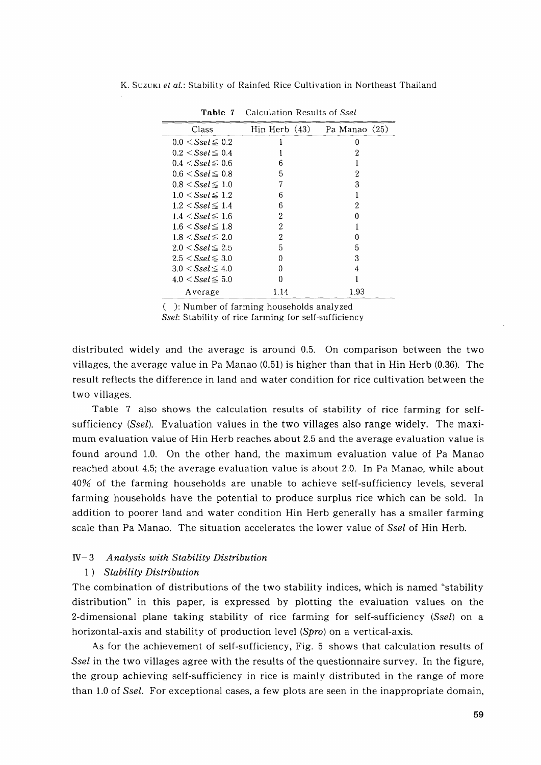| Class                     | $\text{Min Herb}$ (43) | Pa Manao (25) |
|---------------------------|------------------------|---------------|
| $0.0 \le S$ sel $\le 0.2$ |                        |               |
| $0.2 \le S$ sel $\le 0.4$ |                        | 2             |
| $0.4 \le S$ sel $\le 0.6$ | հ                      |               |
| $0.6 \le S$ sel $\le 0.8$ | 5                      | 2             |
| $0.8 \le S$ sel $\le 1.0$ |                        | 3             |
| $1.0 \le S$ sel $\le 1.2$ | 6                      |               |
| $1.2 \le S$ sel $\le 1.4$ | 6                      | 9             |
| $1.4 \le S$ sel $\le 1.6$ | 2                      |               |
| $1.6 \le S$ sel $\le 1.8$ | 2                      |               |
| $1.8 \le S$ sel $\le 2.0$ | 2                      |               |
| $2.0 \le S$ sel $\le 2.5$ | 5                      | 5             |
| $2.5 < S$ sel $\leq 3.0$  | 0                      | 3             |
| $3.0 \le S$ sel $\le 4.0$ | 0                      |               |
| $4.0 \le S$ sel $\le 5.0$ | 0                      |               |
| Average                   | 1.14                   | 1.93          |

Table 7 Calculation Results of Ssel

( ): Number of farming households analyzed

*Sse!:* Stability of rice farming for self-sufficiency

distributed widely and the average is around 0.5. On comparison between the two villages, the average value in Pa Manao (0.51) is higher than that in Hin Herb (0.36). The result reflects the difference in land and water condition for rice cultivation between the two villages.

Table 7 also shows the calculation results of stability of rice farming for selfsufficiency (Ssel). Evaluation values in the two villages also range widely. The maximum evaluation value of Hin Herb reaches about 2.5 and the average evaluation value is found around 1.0. On the other hand, the maximum evaluation value of Pa Manao reached about 4.5; the average evaluation value is about 2.0. In Pa Manao, while about 40% of the farming households are unable to achieve self-sufficiency levels, several farming households have the potential to produce surplus rice which can be sold. In addition to poorer land and water condition Hin Herb generally has a smaller farming scale than Pa Manao. The situation accelerates the lower value of Ssel of Hin Herb.

# IV- 3 *Analysis with Stability Distribution*

#### 1) *Stability Distribution*

The combination of distributions of the two stability indices, which is named "stability distribution" in this paper, is expressed by plotting the evaluation values on the 2-dimensional plane taking stability of rice farming for self-sufficiency (Ssel) on a horizontal-axis and stability of production level  $(Spro)$  on a vertical-axis.

As for the achievement of self-sufficiency, Fig. 5 shows that calculation results of Ssel in the two villages agree with the results of the questionnaire survey. In the figure, the group achieving self-sufficiency in rice is mainly distributed in the range of more than 1.0 of Ssel. For exceptional cases, a few plots are seen in the inappropriate domain,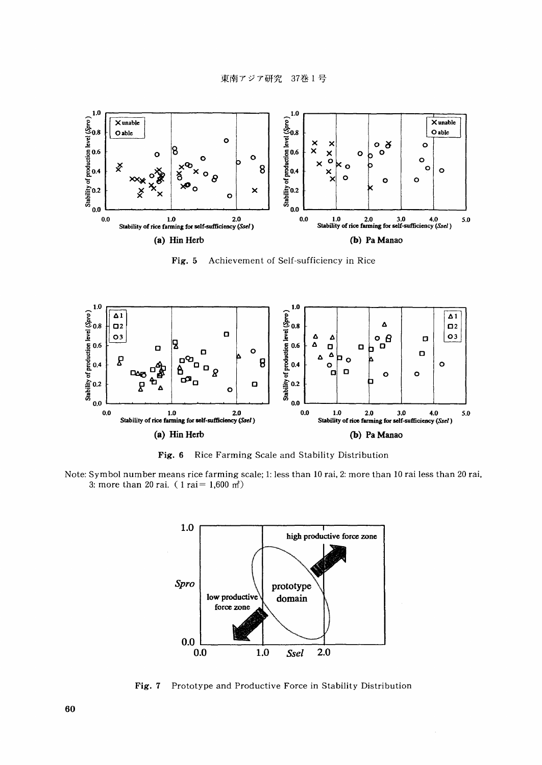

Fig. 5 Achievement of Self-sufficiency in Rice



Fig. 6 Rice Farming Scale and Stability Distribution

Note: Symbol number means rice farming scale; 1: less than 10 rai, 2: more than 10 rai less than 20 rai, 3: more than 20 rai. ( $1 \text{ r}$ ai = 1,600 m<sup>2</sup>)



Fig. 7 Prototype and Productive Force in Stability Distribution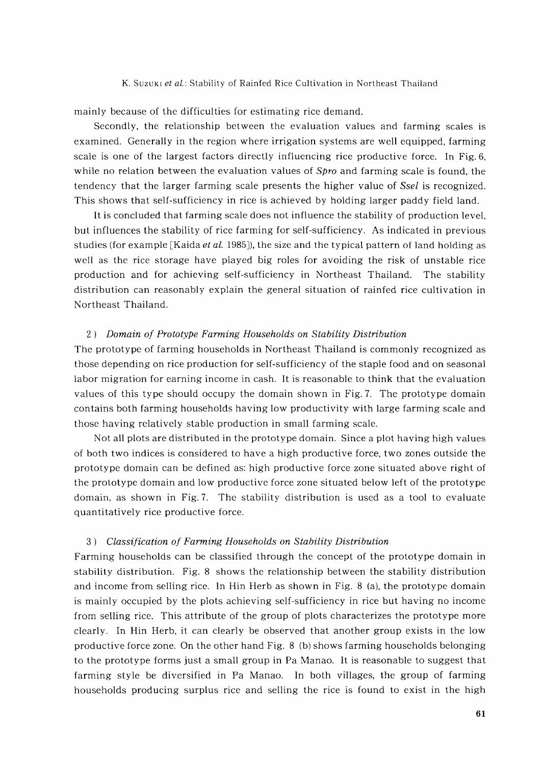mainly because of the difficulties for estimating rice demand.

Secondly, the relationship between the evaluation values and farming scales is examined. Generally in the region where irrigation systems are well equipped, farming scale is one of the largest factors directly influencing rice productive force. In Fig. 6, while no relation between the evaluation values of *Spro* and farming scale is found, the tendency that the larger farming scale presents the higher value of *Ssel* is recognized. This shows that self-sufficiency in rice is achieved by holding larger paddy field land.

It is concluded that farming scale does not influence the stability of production level, but influences the stability of rice farming for self-sufficiency. As indicated in previous studies (for example [Kaida *et al.* 1985J), the size and the typical pattern of land holding as well as the rice storage have played big roles for avoiding the risk of unstable rice production and for achieving self-sufficiency in Northeast Thailand. The stability distribution can reasonably explain the general situation of rainfed rice cultivation in Northeast Thailand.

#### 2) *Domain of Prototype Farming Households on Stability Distribution*

The prototype of farming households in Northeast Thailand is commonly recognized as those depending on rice production for self-sufficiency of the staple food and on seasonal labor migration for earning income in cash. It is reasonable to think that the evaluation values of this type should occupy the domain shown in Fig. 7. The prototype domain contains both farming households having low productivity with large farming scale and those having relatively stable production in small farming scale.

Not all plots are distributed in the prototype domain. Since a plot having high values of both two indices is considered to have a high productive force, two zones outside the prototype domain can be defined as: high productive force zone situated above right of the prototype domain and low productive force zone situated below left of the prototype domain, as shown in Fig. 7. The stability distribution is used as a tool to evaluate quantitatively rice productive force.

#### *3) Classification of Farming Households on Stability Distribution*

Farming households can be classified through the concept of the prototype domain in stability distribution. Fig. 8 shows the relationship between the stability distribution and income from selling rice. In Hin Herb as shown in Fig. 8 (a), the prototype domain is mainly occupied by the plots achieving self-sufficiency in rice but having no income from selling rice. This attribute of the group of plots characterizes the prototype more clearly. In Hin Herb, it can clearly be observed that another group exists in the low productive force zone. On the other hand Fig. 8 (b) shows farming households belonging to the prototype forms just a small group in Pa Manao. It is reasonable to suggest that farming style be diversified in Pa Manao. In both villages, the group of farming households producing surplus rice and selling the rice is found to exist in the high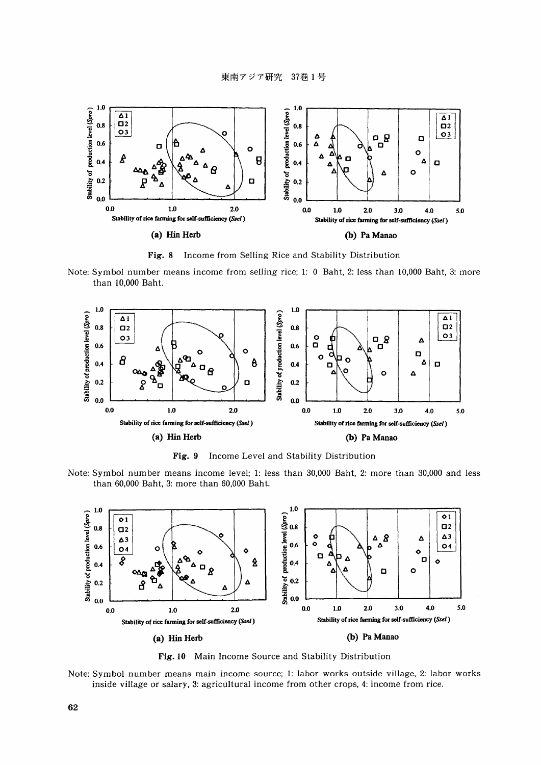

Fig. 8 Income from Selling Rice and Stability Distribution

Note: Symbol number means income from selling rice; 1: 0 Baht, 2: less than 10,000 Baht, 3: more than 10,000 Baht.



Fig. 9 Income Level and Stability Distribution

Note: Symbol number means income level; 1: less than 30,000 Baht, 2: more than 30,000 and less than 60,000 Baht, 3: more than 60,000 Baht.



Fig. 10 Main Income Source and Stability Distribution

Note: Symbol number means main income source; 1: labor works outside village, 2: labor works inside village or salary. 3: agricultural income from other crops, 4: income from rice.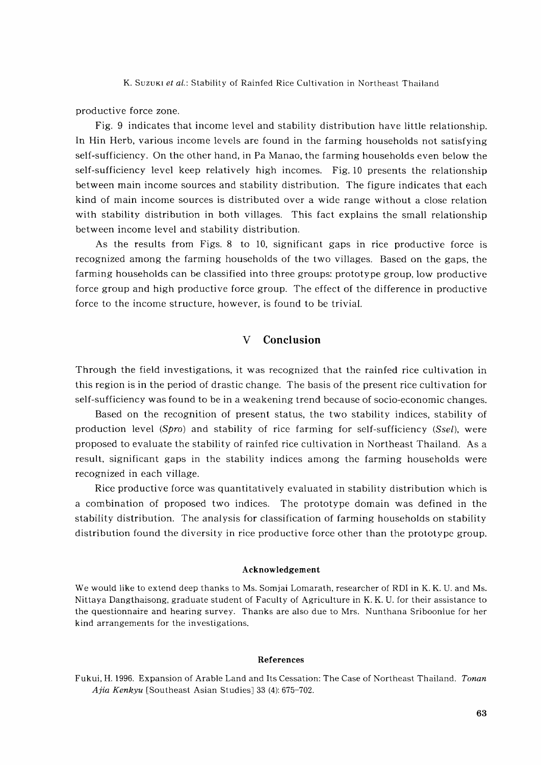productive force zone.

Fig. 9 indicates that income level and stability distribution have little relationship. In Hin Herb, various income levels are found in the farming households not satisfying self-sufficiency. On the other hand, in Pa Manao, the farming households even below the self-sufficiency level keep relatively high incomes. Fig. 10 presents the relationship between main income sources and stability distribution. The figure indicates that each kind of main income sources is distributed over a wide range without a close relation with stability distribution in both villages. This fact explains the small relationship between income level and stability distribution.

As the results from Figs. 8 to 10, significant gaps in rice productive force is recognized among the farming households of the two villages. Based on the gaps, the farming households can be classified into three groups: prototype group, low productive force group and high productive force group. The effect of the difference in productive force to the income structure, however, is found to be trivial.

### V **Conclusion**

Through the field investigations, it was recognized that the rainfed rice cultivation in this region is in the period of drastic change. The basis of the present rice cultivation for self-sufficiency was found to be in a weakening trend because of socio-economic changes.

Based on the recognition of present status, the two stability indices, stability of production level  $(Spro)$  and stability of rice farming for self-sufficiency  $(Ssel)$ , were proposed to evaluate the stability of rainfed rice cultivation in Northeast Thailand. As a result, significant gaps in the stability indices among the farming households were recognized in each village.

Rice productive force was quantitatively evaluated in stability distribution which is a combination of proposed two indices. The prototype domain was defined in the stability distribution. The analysis for classification of farming households on stability distribution found the diversity in rice productive force other than the prototype group.

#### Acknowledgement

We would like to extend deep thanks to Ms. Somjai Lomarath, researcher of RDI in K. K. U. and Ms. Nittaya Dangthaisong, graduate student of Faculty of Agriculture in K. K. U. for their assistance to the questionnaire and hearing survey. Thanks are also due to Mrs. Nunthana Sriboonlue for her kind arrangements for the investigations.

#### References

Fukui, H. 1996. Expansion of Arable Land and Its Cessation: The Case of Northeast Thailand. *Tonan Ajia Kenkyu* [Southeast Asian Studies] 33 (4): 675-702.